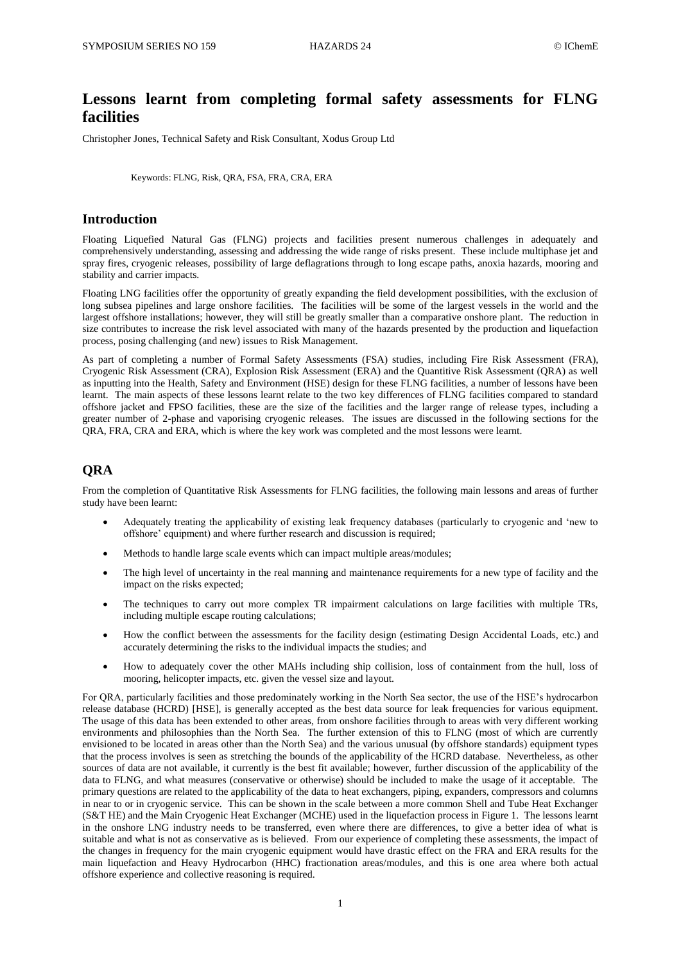# **Lessons learnt from completing formal safety assessments for FLNG facilities**

Christopher Jones, Technical Safety and Risk Consultant, Xodus Group Ltd

Keywords: FLNG, Risk, QRA, FSA, FRA, CRA, ERA

## **Introduction**

Floating Liquefied Natural Gas (FLNG) projects and facilities present numerous challenges in adequately and comprehensively understanding, assessing and addressing the wide range of risks present. These include multiphase jet and spray fires, cryogenic releases, possibility of large deflagrations through to long escape paths, anoxia hazards, mooring and stability and carrier impacts.

Floating LNG facilities offer the opportunity of greatly expanding the field development possibilities, with the exclusion of long subsea pipelines and large onshore facilities. The facilities will be some of the largest vessels in the world and the largest offshore installations; however, they will still be greatly smaller than a comparative onshore plant. The reduction in size contributes to increase the risk level associated with many of the hazards presented by the production and liquefaction process, posing challenging (and new) issues to Risk Management.

As part of completing a number of Formal Safety Assessments (FSA) studies, including Fire Risk Assessment (FRA), Cryogenic Risk Assessment (CRA), Explosion Risk Assessment (ERA) and the Quantitive Risk Assessment (QRA) as well as inputting into the Health, Safety and Environment (HSE) design for these FLNG facilities, a number of lessons have been learnt. The main aspects of these lessons learnt relate to the two key differences of FLNG facilities compared to standard offshore jacket and FPSO facilities, these are the size of the facilities and the larger range of release types, including a greater number of 2-phase and vaporising cryogenic releases. The issues are discussed in the following sections for the QRA, FRA, CRA and ERA, which is where the key work was completed and the most lessons were learnt.

# **QRA**

From the completion of Quantitative Risk Assessments for FLNG facilities, the following main lessons and areas of further study have been learnt:

- Adequately treating the applicability of existing leak frequency databases (particularly to cryogenic and 'new to offshore' equipment) and where further research and discussion is required;
- Methods to handle large scale events which can impact multiple areas/modules;
- The high level of uncertainty in the real manning and maintenance requirements for a new type of facility and the impact on the risks expected;
- The techniques to carry out more complex TR impairment calculations on large facilities with multiple TRs, including multiple escape routing calculations;
- How the conflict between the assessments for the facility design (estimating Design Accidental Loads, etc.) and accurately determining the risks to the individual impacts the studies; and
- How to adequately cover the other MAHs including ship collision, loss of containment from the hull, loss of mooring, helicopter impacts, etc. given the vessel size and layout.

For QRA, particularly facilities and those predominately working in the North Sea sector, the use of the HSE's hydrocarbon release database (HCRD) [HSE], is generally accepted as the best data source for leak frequencies for various equipment. The usage of this data has been extended to other areas, from onshore facilities through to areas with very different working environments and philosophies than the North Sea. The further extension of this to FLNG (most of which are currently envisioned to be located in areas other than the North Sea) and the various unusual (by offshore standards) equipment types that the process involves is seen as stretching the bounds of the applicability of the HCRD database. Nevertheless, as other sources of data are not available, it currently is the best fit available; however, further discussion of the applicability of the data to FLNG, and what measures (conservative or otherwise) should be included to make the usage of it acceptable. The primary questions are related to the applicability of the data to heat exchangers, piping, expanders, compressors and columns in near to or in cryogenic service. This can be shown in the scale between a more common Shell and Tube Heat Exchanger (S&T HE) and the Main Cryogenic Heat Exchanger (MCHE) used in the liquefaction process in Figure 1. The lessons learnt in the onshore LNG industry needs to be transferred, even where there are differences, to give a better idea of what is suitable and what is not as conservative as is believed. From our experience of completing these assessments, the impact of the changes in frequency for the main cryogenic equipment would have drastic effect on the FRA and ERA results for the main liquefaction and Heavy Hydrocarbon (HHC) fractionation areas/modules, and this is one area where both actual offshore experience and collective reasoning is required.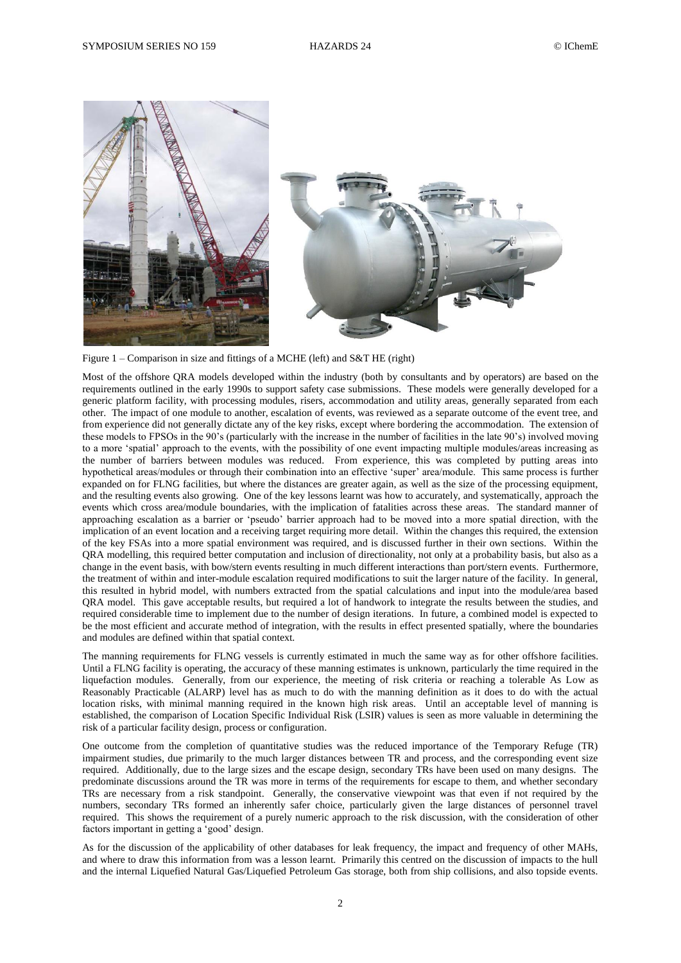

Figure 1 – Comparison in size and fittings of a MCHE (left) and S&T HE (right)

Most of the offshore QRA models developed within the industry (both by consultants and by operators) are based on the requirements outlined in the early 1990s to support safety case submissions. These models were generally developed for a generic platform facility, with processing modules, risers, accommodation and utility areas, generally separated from each other. The impact of one module to another, escalation of events, was reviewed as a separate outcome of the event tree, and from experience did not generally dictate any of the key risks, except where bordering the accommodation. The extension of these models to FPSOs in the 90's (particularly with the increase in the number of facilities in the late 90's) involved moving to a more 'spatial' approach to the events, with the possibility of one event impacting multiple modules/areas increasing as the number of barriers between modules was reduced. From experience, this was completed by putting areas into hypothetical areas/modules or through their combination into an effective 'super' area/module. This same process is further expanded on for FLNG facilities, but where the distances are greater again, as well as the size of the processing equipment, and the resulting events also growing. One of the key lessons learnt was how to accurately, and systematically, approach the events which cross area/module boundaries, with the implication of fatalities across these areas. The standard manner of approaching escalation as a barrier or 'pseudo' barrier approach had to be moved into a more spatial direction, with the implication of an event location and a receiving target requiring more detail. Within the changes this required, the extension of the key FSAs into a more spatial environment was required, and is discussed further in their own sections. Within the QRA modelling, this required better computation and inclusion of directionality, not only at a probability basis, but also as a change in the event basis, with bow/stern events resulting in much different interactions than port/stern events. Furthermore, the treatment of within and inter-module escalation required modifications to suit the larger nature of the facility. In general, this resulted in hybrid model, with numbers extracted from the spatial calculations and input into the module/area based QRA model. This gave acceptable results, but required a lot of handwork to integrate the results between the studies, and required considerable time to implement due to the number of design iterations. In future, a combined model is expected to be the most efficient and accurate method of integration, with the results in effect presented spatially, where the boundaries and modules are defined within that spatial context.

The manning requirements for FLNG vessels is currently estimated in much the same way as for other offshore facilities. Until a FLNG facility is operating, the accuracy of these manning estimates is unknown, particularly the time required in the liquefaction modules. Generally, from our experience, the meeting of risk criteria or reaching a tolerable As Low as Reasonably Practicable (ALARP) level has as much to do with the manning definition as it does to do with the actual location risks, with minimal manning required in the known high risk areas. Until an acceptable level of manning is established, the comparison of Location Specific Individual Risk (LSIR) values is seen as more valuable in determining the risk of a particular facility design, process or configuration.

One outcome from the completion of quantitative studies was the reduced importance of the Temporary Refuge (TR) impairment studies, due primarily to the much larger distances between TR and process, and the corresponding event size required. Additionally, due to the large sizes and the escape design, secondary TRs have been used on many designs. The predominate discussions around the TR was more in terms of the requirements for escape to them, and whether secondary TRs are necessary from a risk standpoint. Generally, the conservative viewpoint was that even if not required by the numbers, secondary TRs formed an inherently safer choice, particularly given the large distances of personnel travel required. This shows the requirement of a purely numeric approach to the risk discussion, with the consideration of other factors important in getting a 'good' design.

As for the discussion of the applicability of other databases for leak frequency, the impact and frequency of other MAHs, and where to draw this information from was a lesson learnt. Primarily this centred on the discussion of impacts to the hull and the internal Liquefied Natural Gas/Liquefied Petroleum Gas storage, both from ship collisions, and also topside events.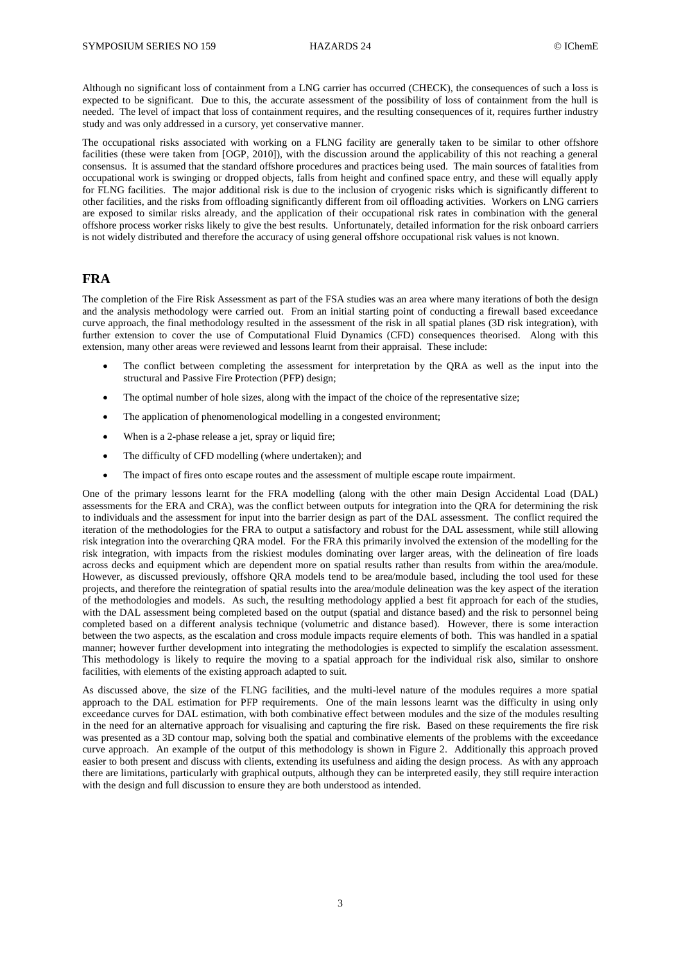Although no significant loss of containment from a LNG carrier has occurred (CHECK), the consequences of such a loss is expected to be significant. Due to this, the accurate assessment of the possibility of loss of containment from the hull is needed. The level of impact that loss of containment requires, and the resulting consequences of it, requires further industry study and was only addressed in a cursory, yet conservative manner.

The occupational risks associated with working on a FLNG facility are generally taken to be similar to other offshore facilities (these were taken from [OGP, 2010]), with the discussion around the applicability of this not reaching a general consensus. It is assumed that the standard offshore procedures and practices being used. The main sources of fatalities from occupational work is swinging or dropped objects, falls from height and confined space entry, and these will equally apply for FLNG facilities. The major additional risk is due to the inclusion of cryogenic risks which is significantly different to other facilities, and the risks from offloading significantly different from oil offloading activities. Workers on LNG carriers are exposed to similar risks already, and the application of their occupational risk rates in combination with the general offshore process worker risks likely to give the best results. Unfortunately, detailed information for the risk onboard carriers is not widely distributed and therefore the accuracy of using general offshore occupational risk values is not known.

### **FRA**

The completion of the Fire Risk Assessment as part of the FSA studies was an area where many iterations of both the design and the analysis methodology were carried out. From an initial starting point of conducting a firewall based exceedance curve approach, the final methodology resulted in the assessment of the risk in all spatial planes (3D risk integration), with further extension to cover the use of Computational Fluid Dynamics (CFD) consequences theorised. Along with this extension, many other areas were reviewed and lessons learnt from their appraisal. These include:

- The conflict between completing the assessment for interpretation by the QRA as well as the input into the structural and Passive Fire Protection (PFP) design;
- The optimal number of hole sizes, along with the impact of the choice of the representative size;
- The application of phenomenological modelling in a congested environment;
- When is a 2-phase release a jet, spray or liquid fire;
- The difficulty of CFD modelling (where undertaken); and
- The impact of fires onto escape routes and the assessment of multiple escape route impairment.

One of the primary lessons learnt for the FRA modelling (along with the other main Design Accidental Load (DAL) assessments for the ERA and CRA), was the conflict between outputs for integration into the QRA for determining the risk to individuals and the assessment for input into the barrier design as part of the DAL assessment. The conflict required the iteration of the methodologies for the FRA to output a satisfactory and robust for the DAL assessment, while still allowing risk integration into the overarching QRA model. For the FRA this primarily involved the extension of the modelling for the risk integration, with impacts from the riskiest modules dominating over larger areas, with the delineation of fire loads across decks and equipment which are dependent more on spatial results rather than results from within the area/module. However, as discussed previously, offshore QRA models tend to be area/module based, including the tool used for these projects, and therefore the reintegration of spatial results into the area/module delineation was the key aspect of the iteration of the methodologies and models. As such, the resulting methodology applied a best fit approach for each of the studies, with the DAL assessment being completed based on the output (spatial and distance based) and the risk to personnel being completed based on a different analysis technique (volumetric and distance based). However, there is some interaction between the two aspects, as the escalation and cross module impacts require elements of both. This was handled in a spatial manner; however further development into integrating the methodologies is expected to simplify the escalation assessment. This methodology is likely to require the moving to a spatial approach for the individual risk also, similar to onshore facilities, with elements of the existing approach adapted to suit.

As discussed above, the size of the FLNG facilities, and the multi-level nature of the modules requires a more spatial approach to the DAL estimation for PFP requirements. One of the main lessons learnt was the difficulty in using only exceedance curves for DAL estimation, with both combinative effect between modules and the size of the modules resulting in the need for an alternative approach for visualising and capturing the fire risk. Based on these requirements the fire risk was presented as a 3D contour map, solving both the spatial and combinative elements of the problems with the exceedance curve approach. An example of the output of this methodology is shown in Figure 2. Additionally this approach proved easier to both present and discuss with clients, extending its usefulness and aiding the design process. As with any approach there are limitations, particularly with graphical outputs, although they can be interpreted easily, they still require interaction with the design and full discussion to ensure they are both understood as intended.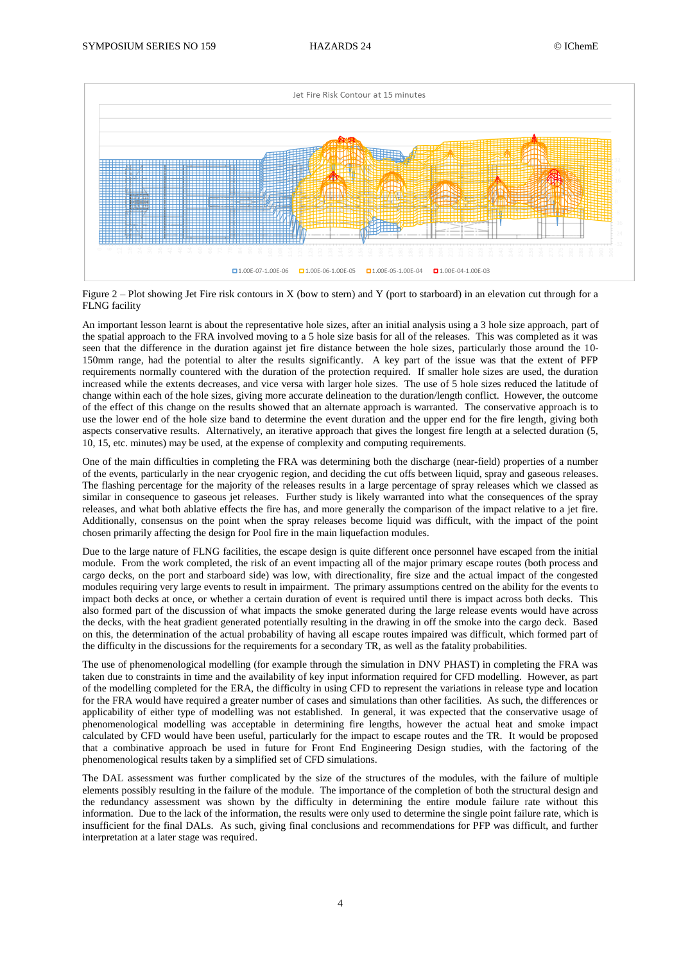

Figure  $2$  – Plot showing Jet Fire risk contours in X (bow to stern) and Y (port to starboard) in an elevation cut through for a FLNG facility

An important lesson learnt is about the representative hole sizes, after an initial analysis using a 3 hole size approach, part of the spatial approach to the FRA involved moving to a 5 hole size basis for all of the releases. This was completed as it was seen that the difference in the duration against jet fire distance between the hole sizes, particularly those around the 10- 150mm range, had the potential to alter the results significantly. A key part of the issue was that the extent of PFP requirements normally countered with the duration of the protection required. If smaller hole sizes are used, the duration increased while the extents decreases, and vice versa with larger hole sizes. The use of 5 hole sizes reduced the latitude of change within each of the hole sizes, giving more accurate delineation to the duration/length conflict. However, the outcome of the effect of this change on the results showed that an alternate approach is warranted. The conservative approach is to use the lower end of the hole size band to determine the event duration and the upper end for the fire length, giving both aspects conservative results. Alternatively, an iterative approach that gives the longest fire length at a selected duration (5, 10, 15, etc. minutes) may be used, at the expense of complexity and computing requirements.

One of the main difficulties in completing the FRA was determining both the discharge (near-field) properties of a number of the events, particularly in the near cryogenic region, and deciding the cut offs between liquid, spray and gaseous releases. The flashing percentage for the majority of the releases results in a large percentage of spray releases which we classed as similar in consequence to gaseous jet releases. Further study is likely warranted into what the consequences of the spray releases, and what both ablative effects the fire has, and more generally the comparison of the impact relative to a jet fire. Additionally, consensus on the point when the spray releases become liquid was difficult, with the impact of the point chosen primarily affecting the design for Pool fire in the main liquefaction modules.

Due to the large nature of FLNG facilities, the escape design is quite different once personnel have escaped from the initial module. From the work completed, the risk of an event impacting all of the major primary escape routes (both process and cargo decks, on the port and starboard side) was low, with directionality, fire size and the actual impact of the congested modules requiring very large events to result in impairment. The primary assumptions centred on the ability for the events to impact both decks at once, or whether a certain duration of event is required until there is impact across both decks. This also formed part of the discussion of what impacts the smoke generated during the large release events would have across the decks, with the heat gradient generated potentially resulting in the drawing in off the smoke into the cargo deck. Based on this, the determination of the actual probability of having all escape routes impaired was difficult, which formed part of the difficulty in the discussions for the requirements for a secondary TR, as well as the fatality probabilities.

The use of phenomenological modelling (for example through the simulation in DNV PHAST) in completing the FRA was taken due to constraints in time and the availability of key input information required for CFD modelling. However, as part of the modelling completed for the ERA, the difficulty in using CFD to represent the variations in release type and location for the FRA would have required a greater number of cases and simulations than other facilities. As such, the differences or applicability of either type of modelling was not established. In general, it was expected that the conservative usage of phenomenological modelling was acceptable in determining fire lengths, however the actual heat and smoke impact calculated by CFD would have been useful, particularly for the impact to escape routes and the TR. It would be proposed that a combinative approach be used in future for Front End Engineering Design studies, with the factoring of the phenomenological results taken by a simplified set of CFD simulations.

The DAL assessment was further complicated by the size of the structures of the modules, with the failure of multiple elements possibly resulting in the failure of the module. The importance of the completion of both the structural design and the redundancy assessment was shown by the difficulty in determining the entire module failure rate without this information. Due to the lack of the information, the results were only used to determine the single point failure rate, which is insufficient for the final DALs. As such, giving final conclusions and recommendations for PFP was difficult, and further interpretation at a later stage was required.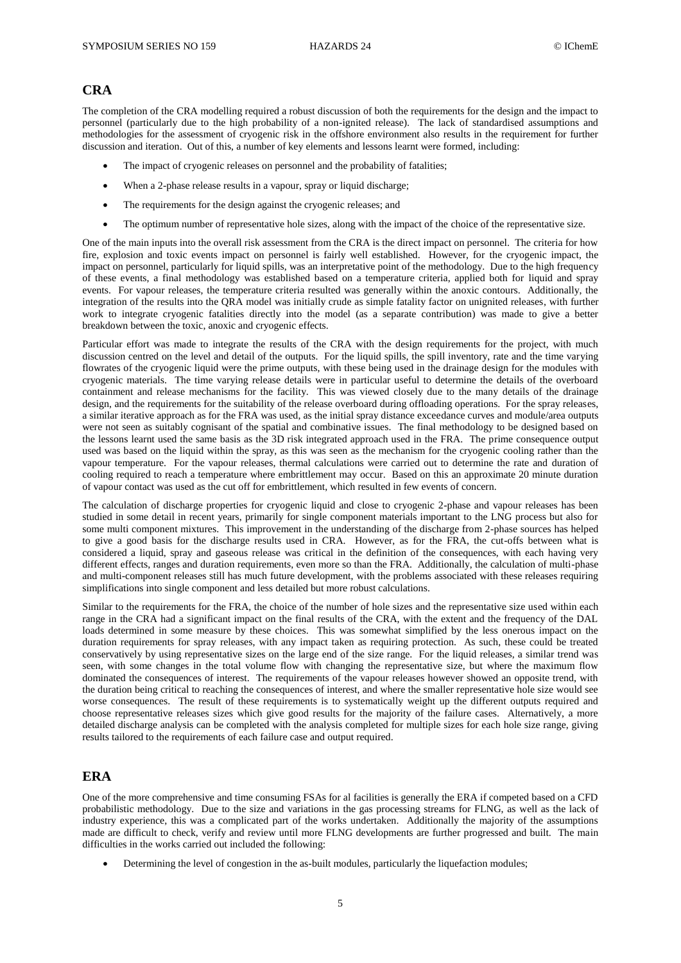## **CRA**

The completion of the CRA modelling required a robust discussion of both the requirements for the design and the impact to personnel (particularly due to the high probability of a non-ignited release). The lack of standardised assumptions and methodologies for the assessment of cryogenic risk in the offshore environment also results in the requirement for further discussion and iteration. Out of this, a number of key elements and lessons learnt were formed, including:

- The impact of cryogenic releases on personnel and the probability of fatalities;
- When a 2-phase release results in a vapour, spray or liquid discharge;
- The requirements for the design against the cryogenic releases; and
- The optimum number of representative hole sizes, along with the impact of the choice of the representative size.

One of the main inputs into the overall risk assessment from the CRA is the direct impact on personnel. The criteria for how fire, explosion and toxic events impact on personnel is fairly well established. However, for the cryogenic impact, the impact on personnel, particularly for liquid spills, was an interpretative point of the methodology. Due to the high frequency of these events, a final methodology was established based on a temperature criteria, applied both for liquid and spray events. For vapour releases, the temperature criteria resulted was generally within the anoxic contours. Additionally, the integration of the results into the QRA model was initially crude as simple fatality factor on unignited releases, with further work to integrate cryogenic fatalities directly into the model (as a separate contribution) was made to give a better breakdown between the toxic, anoxic and cryogenic effects.

Particular effort was made to integrate the results of the CRA with the design requirements for the project, with much discussion centred on the level and detail of the outputs. For the liquid spills, the spill inventory, rate and the time varying flowrates of the cryogenic liquid were the prime outputs, with these being used in the drainage design for the modules with cryogenic materials. The time varying release details were in particular useful to determine the details of the overboard containment and release mechanisms for the facility. This was viewed closely due to the many details of the drainage design, and the requirements for the suitability of the release overboard during offloading operations. For the spray releases, a similar iterative approach as for the FRA was used, as the initial spray distance exceedance curves and module/area outputs were not seen as suitably cognisant of the spatial and combinative issues. The final methodology to be designed based on the lessons learnt used the same basis as the 3D risk integrated approach used in the FRA. The prime consequence output used was based on the liquid within the spray, as this was seen as the mechanism for the cryogenic cooling rather than the vapour temperature. For the vapour releases, thermal calculations were carried out to determine the rate and duration of cooling required to reach a temperature where embrittlement may occur. Based on this an approximate 20 minute duration of vapour contact was used as the cut off for embrittlement, which resulted in few events of concern.

The calculation of discharge properties for cryogenic liquid and close to cryogenic 2-phase and vapour releases has been studied in some detail in recent years, primarily for single component materials important to the LNG process but also for some multi component mixtures. This improvement in the understanding of the discharge from 2-phase sources has helped to give a good basis for the discharge results used in CRA. However, as for the FRA, the cut-offs between what is considered a liquid, spray and gaseous release was critical in the definition of the consequences, with each having very different effects, ranges and duration requirements, even more so than the FRA. Additionally, the calculation of multi-phase and multi-component releases still has much future development, with the problems associated with these releases requiring simplifications into single component and less detailed but more robust calculations.

Similar to the requirements for the FRA, the choice of the number of hole sizes and the representative size used within each range in the CRA had a significant impact on the final results of the CRA, with the extent and the frequency of the DAL loads determined in some measure by these choices. This was somewhat simplified by the less onerous impact on the duration requirements for spray releases, with any impact taken as requiring protection. As such, these could be treated conservatively by using representative sizes on the large end of the size range. For the liquid releases, a similar trend was seen, with some changes in the total volume flow with changing the representative size, but where the maximum flow dominated the consequences of interest. The requirements of the vapour releases however showed an opposite trend, with the duration being critical to reaching the consequences of interest, and where the smaller representative hole size would see worse consequences. The result of these requirements is to systematically weight up the different outputs required and choose representative releases sizes which give good results for the majority of the failure cases. Alternatively, a more detailed discharge analysis can be completed with the analysis completed for multiple sizes for each hole size range, giving results tailored to the requirements of each failure case and output required.

## **ERA**

One of the more comprehensive and time consuming FSAs for al facilities is generally the ERA if competed based on a CFD probabilistic methodology. Due to the size and variations in the gas processing streams for FLNG, as well as the lack of industry experience, this was a complicated part of the works undertaken. Additionally the majority of the assumptions made are difficult to check, verify and review until more FLNG developments are further progressed and built. The main difficulties in the works carried out included the following:

Determining the level of congestion in the as-built modules, particularly the liquefaction modules;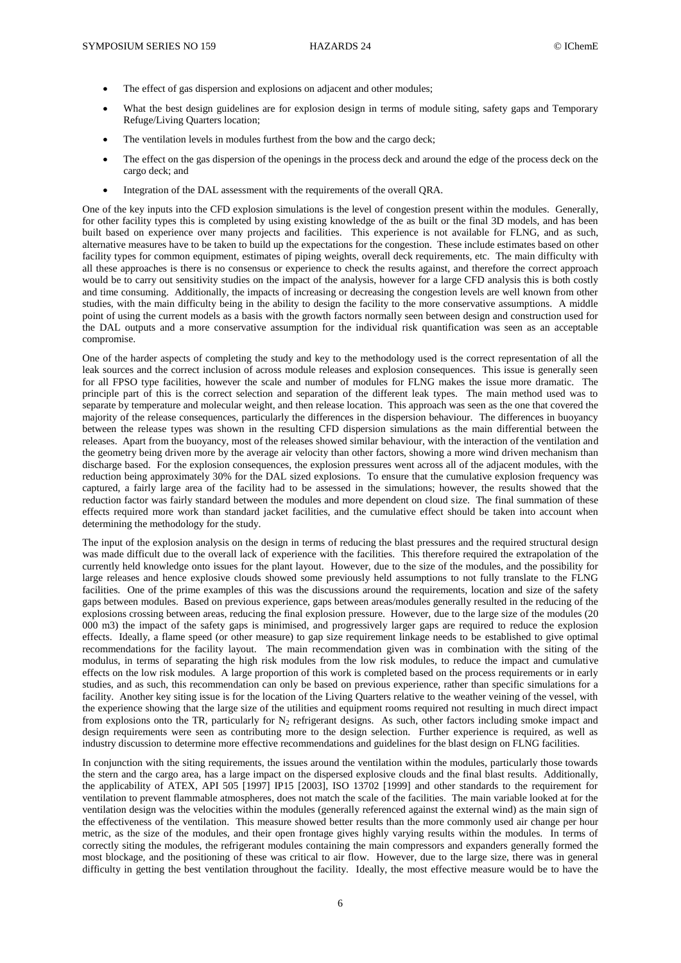- The effect of gas dispersion and explosions on adjacent and other modules;
- What the best design guidelines are for explosion design in terms of module siting, safety gaps and Temporary Refuge/Living Quarters location;
- The ventilation levels in modules furthest from the bow and the cargo deck;
- The effect on the gas dispersion of the openings in the process deck and around the edge of the process deck on the cargo deck; and
- Integration of the DAL assessment with the requirements of the overall QRA.

One of the key inputs into the CFD explosion simulations is the level of congestion present within the modules. Generally, for other facility types this is completed by using existing knowledge of the as built or the final 3D models, and has been built based on experience over many projects and facilities. This experience is not available for FLNG, and as such, alternative measures have to be taken to build up the expectations for the congestion. These include estimates based on other facility types for common equipment, estimates of piping weights, overall deck requirements, etc. The main difficulty with all these approaches is there is no consensus or experience to check the results against, and therefore the correct approach would be to carry out sensitivity studies on the impact of the analysis, however for a large CFD analysis this is both costly and time consuming. Additionally, the impacts of increasing or decreasing the congestion levels are well known from other studies, with the main difficulty being in the ability to design the facility to the more conservative assumptions. A middle point of using the current models as a basis with the growth factors normally seen between design and construction used for the DAL outputs and a more conservative assumption for the individual risk quantification was seen as an acceptable compromise.

One of the harder aspects of completing the study and key to the methodology used is the correct representation of all the leak sources and the correct inclusion of across module releases and explosion consequences. This issue is generally seen for all FPSO type facilities, however the scale and number of modules for FLNG makes the issue more dramatic. The principle part of this is the correct selection and separation of the different leak types. The main method used was to separate by temperature and molecular weight, and then release location. This approach was seen as the one that covered the majority of the release consequences, particularly the differences in the dispersion behaviour. The differences in buoyancy between the release types was shown in the resulting CFD dispersion simulations as the main differential between the releases. Apart from the buoyancy, most of the releases showed similar behaviour, with the interaction of the ventilation and the geometry being driven more by the average air velocity than other factors, showing a more wind driven mechanism than discharge based. For the explosion consequences, the explosion pressures went across all of the adjacent modules, with the reduction being approximately 30% for the DAL sized explosions. To ensure that the cumulative explosion frequency was captured, a fairly large area of the facility had to be assessed in the simulations; however, the results showed that the reduction factor was fairly standard between the modules and more dependent on cloud size. The final summation of these effects required more work than standard jacket facilities, and the cumulative effect should be taken into account when determining the methodology for the study.

The input of the explosion analysis on the design in terms of reducing the blast pressures and the required structural design was made difficult due to the overall lack of experience with the facilities. This therefore required the extrapolation of the currently held knowledge onto issues for the plant layout. However, due to the size of the modules, and the possibility for large releases and hence explosive clouds showed some previously held assumptions to not fully translate to the FLNG facilities. One of the prime examples of this was the discussions around the requirements, location and size of the safety gaps between modules. Based on previous experience, gaps between areas/modules generally resulted in the reducing of the explosions crossing between areas, reducing the final explosion pressure. However, due to the large size of the modules (20 000 m3) the impact of the safety gaps is minimised, and progressively larger gaps are required to reduce the explosion effects. Ideally, a flame speed (or other measure) to gap size requirement linkage needs to be established to give optimal recommendations for the facility layout. The main recommendation given was in combination with the siting of the modulus, in terms of separating the high risk modules from the low risk modules, to reduce the impact and cumulative effects on the low risk modules. A large proportion of this work is completed based on the process requirements or in early studies, and as such, this recommendation can only be based on previous experience, rather than specific simulations for a facility. Another key siting issue is for the location of the Living Quarters relative to the weather veining of the vessel, with the experience showing that the large size of the utilities and equipment rooms required not resulting in much direct impact from explosions onto the TR, particularly for  $N_2$  refrigerant designs. As such, other factors including smoke impact and design requirements were seen as contributing more to the design selection. Further experience is required, as well as industry discussion to determine more effective recommendations and guidelines for the blast design on FLNG facilities.

In conjunction with the siting requirements, the issues around the ventilation within the modules, particularly those towards the stern and the cargo area, has a large impact on the dispersed explosive clouds and the final blast results. Additionally, the applicability of ATEX, API 505 [1997] IP15 [2003], ISO 13702 [1999] and other standards to the requirement for ventilation to prevent flammable atmospheres, does not match the scale of the facilities. The main variable looked at for the ventilation design was the velocities within the modules (generally referenced against the external wind) as the main sign of the effectiveness of the ventilation. This measure showed better results than the more commonly used air change per hour metric, as the size of the modules, and their open frontage gives highly varying results within the modules. In terms of correctly siting the modules, the refrigerant modules containing the main compressors and expanders generally formed the most blockage, and the positioning of these was critical to air flow. However, due to the large size, there was in general difficulty in getting the best ventilation throughout the facility. Ideally, the most effective measure would be to have the